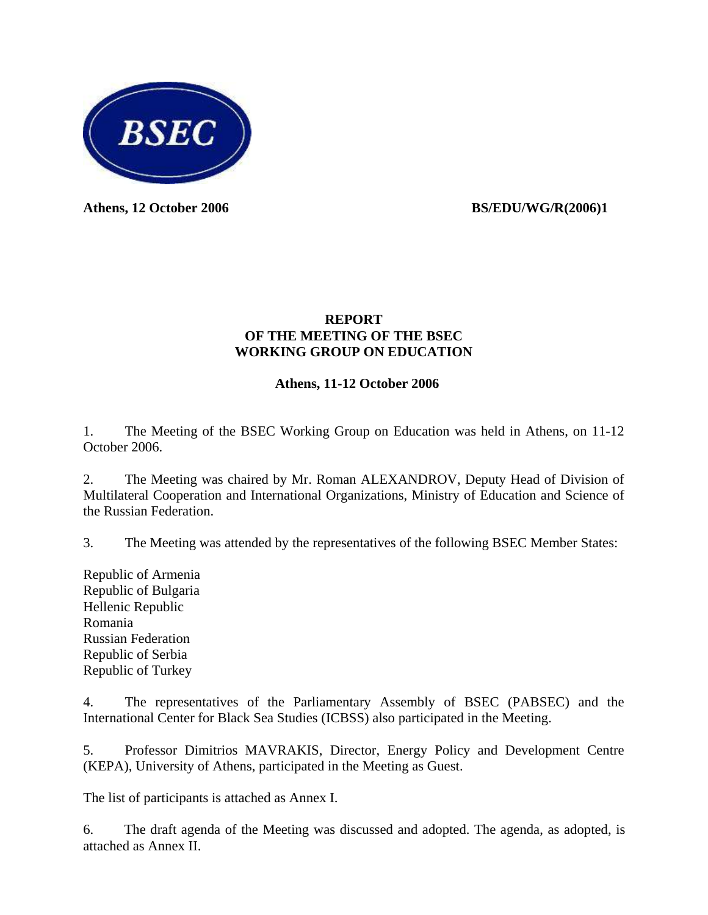

Athens, 12 October 2006 **BS/EDU/WG/R(2006)1** 

### **REPORT OF THE MEETING OF THE BSEC WORKING GROUP ON EDUCATION**

### **Athens, 11-12 October 2006**

1. The Meeting of the BSEC Working Group on Education was held in Athens, on 11-12 October 2006.

2. The Meeting was chaired by Mr. Roman ALEXANDROV, Deputy Head of Division of Multilateral Cooperation and International Organizations, Ministry of Education and Science of the Russian Federation.

3. The Meeting was attended by the representatives of the following BSEC Member States:

Republic of Armenia Republic of Bulgaria Hellenic Republic Romania Russian Federation Republic of Serbia Republic of Turkey

4. The representatives of the Parliamentary Assembly of BSEC (PABSEC) and the International Center for Black Sea Studies (ICBSS) also participated in the Meeting.

5. Professor Dimitrios MAVRAKIS, Director, Energy Policy and Development Centre (KEPA), University of Athens, participated in the Meeting as Guest.

The list of participants is attached as Annex I.

6. The draft agenda of the Meeting was discussed and adopted. The agenda, as adopted, is attached as Annex II.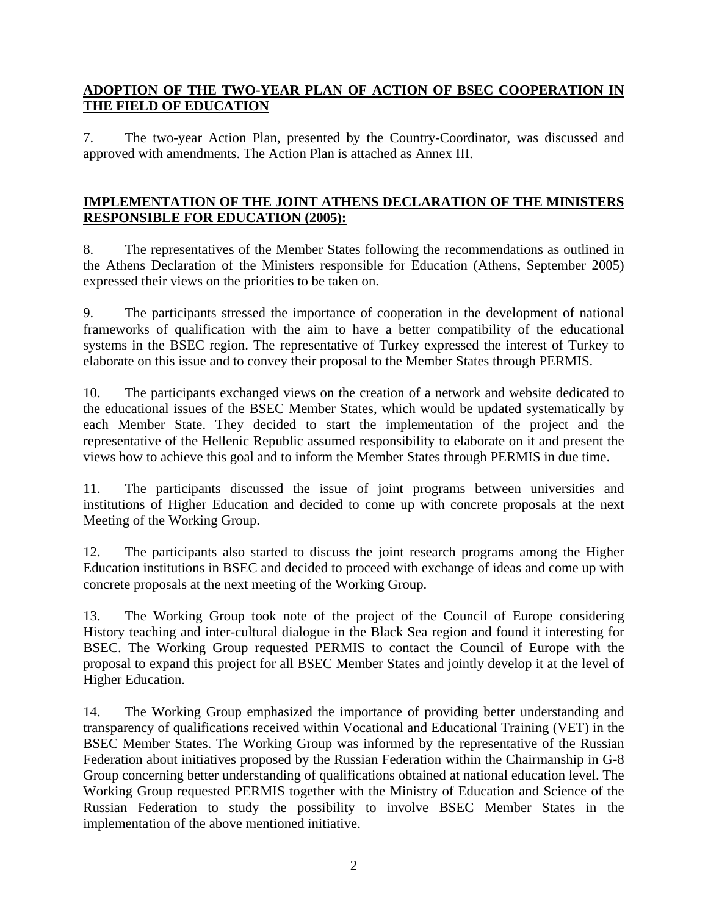### **ADOPTION OF THE TWO-YEAR PLAN OF ACTION OF BSEC COOPERATION IN THE FIELD OF EDUCATION**

7. The two-year Action Plan, presented by the Country-Coordinator, was discussed and approved with amendments. The Action Plan is attached as Annex III.

### **IMPLEMENTATION OF THE JOINT ATHENS DECLARATION OF THE MINISTERS RESPONSIBLE FOR EDUCATION (2005):**

8. The representatives of the Member States following the recommendations as outlined in the Athens Declaration of the Ministers responsible for Education (Athens, September 2005) expressed their views on the priorities to be taken on.

9. The participants stressed the importance of cooperation in the development of national frameworks of qualification with the aim to have a better compatibility of the educational systems in the BSEC region. The representative of Turkey expressed the interest of Turkey to elaborate on this issue and to convey their proposal to the Member States through PERMIS.

10. The participants exchanged views on the creation of a network and website dedicated to the educational issues of the BSEC Member States, which would be updated systematically by each Member State. They decided to start the implementation of the project and the representative of the Hellenic Republic assumed responsibility to elaborate on it and present the views how to achieve this goal and to inform the Member States through PERMIS in due time.

11. The participants discussed the issue of joint programs between universities and institutions of Higher Education and decided to come up with concrete proposals at the next Meeting of the Working Group.

12. The participants also started to discuss the joint research programs among the Higher Education institutions in BSEC and decided to proceed with exchange of ideas and come up with concrete proposals at the next meeting of the Working Group.

13. The Working Group took note of the project of the Council of Europe considering History teaching and inter-cultural dialogue in the Black Sea region and found it interesting for BSEC. The Working Group requested PERMIS to contact the Council of Europe with the proposal to expand this project for all BSEC Member States and jointly develop it at the level of Higher Education.

14. The Working Group emphasized the importance of providing better understanding and transparency of qualifications received within Vocational and Educational Training (VET) in the BSEC Member States. The Working Group was informed by the representative of the Russian Federation about initiatives proposed by the Russian Federation within the Chairmanship in G-8 Group concerning better understanding of qualifications obtained at national education level. The Working Group requested PERMIS together with the Ministry of Education and Science of the Russian Federation to study the possibility to involve BSEC Member States in the implementation of the above mentioned initiative.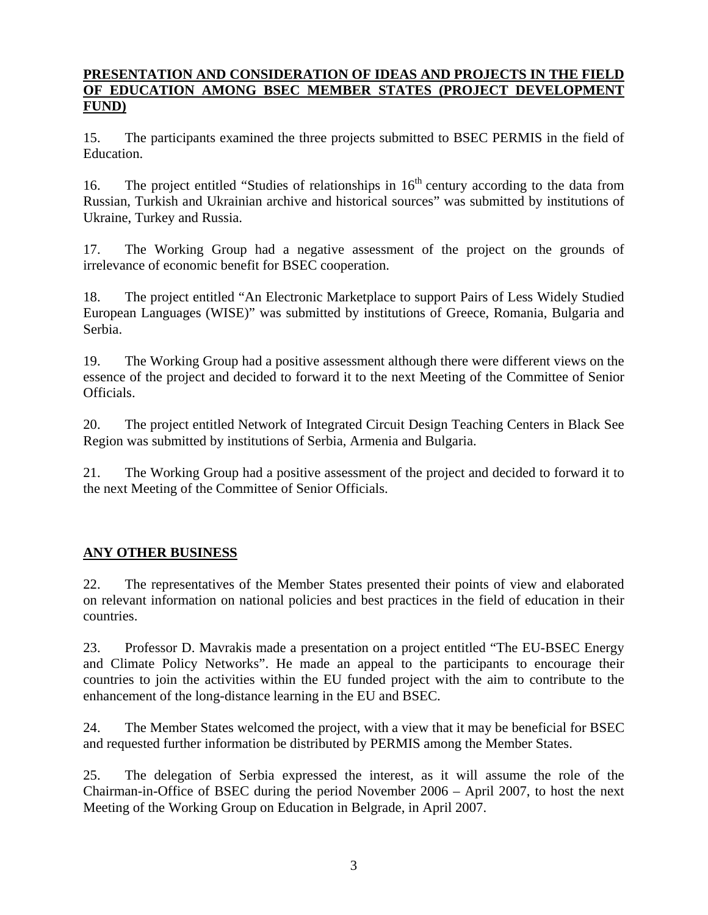#### **PRESENTATION AND CONSIDERATION OF IDEAS AND PROJECTS IN THE FIELD OF EDUCATION AMONG BSEC MEMBER STATES (PROJECT DEVELOPMENT FUND)**

15. The participants examined the three projects submitted to BSEC PERMIS in the field of Education.

16. The project entitled "Studies of relationships in 16<sup>th</sup> century according to the data from Russian, Turkish and Ukrainian archive and historical sources" was submitted by institutions of Ukraine, Turkey and Russia.

17. The Working Group had a negative assessment of the project on the grounds of irrelevance of economic benefit for BSEC cooperation.

18. The project entitled "An Electronic Marketplace to support Pairs of Less Widely Studied European Languages (WISE)" was submitted by institutions of Greece, Romania, Bulgaria and Serbia.

19. The Working Group had a positive assessment although there were different views on the essence of the project and decided to forward it to the next Meeting of the Committee of Senior Officials.

20. The project entitled Network of Integrated Circuit Design Teaching Centers in Black See Region was submitted by institutions of Serbia, Armenia and Bulgaria.

21. The Working Group had a positive assessment of the project and decided to forward it to the next Meeting of the Committee of Senior Officials.

## **ANY OTHER BUSINESS**

22. The representatives of the Member States presented their points of view and elaborated on relevant information on national policies and best practices in the field of education in their countries.

23. Professor D. Mavrakis made a presentation on a project entitled "The EU-BSEC Energy and Climate Policy Networks". He made an appeal to the participants to encourage their countries to join the activities within the EU funded project with the aim to contribute to the enhancement of the long-distance learning in the EU and BSEC.

24. The Member States welcomed the project, with a view that it may be beneficial for BSEC and requested further information be distributed by PERMIS among the Member States.

25. The delegation of Serbia expressed the interest, as it will assume the role of the Chairman-in-Office of BSEC during the period November 2006 – April 2007, to host the next Meeting of the Working Group on Education in Belgrade, in April 2007.